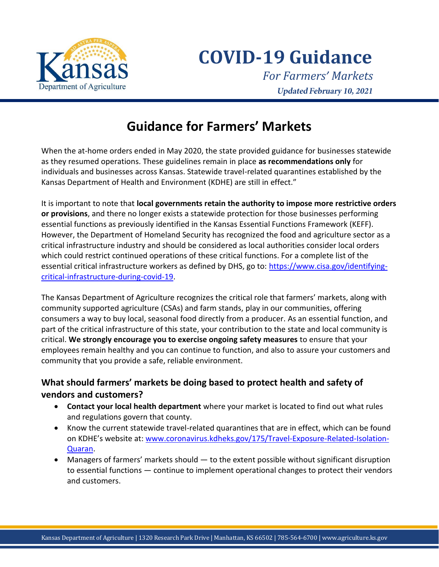

**COVID-19 Guidance**

*For Farmers' Markets* **Updated February 10, 2021** 

# **Guidance for Farmers' Markets**

When the at-home orders ended in May 2020, the state provided guidance for businesses statewide as they resumed operations. These guidelines remain in place **as recommendations only** for individuals and businesses across Kansas. Statewide travel-related quarantines established by the Kansas Department of Health and Environment (KDHE) are still in effect."

It is important to note that **local governments retain the authority to impose more restrictive orders or provisions**, and there no longer exists a statewide protection for those businesses performing essential functions as previously identified in the Kansas Essential Functions Framework (KEFF). However, the Department of Homeland Security has recognized the food and agriculture sector as a critical infrastructure industry and should be considered as local authorities consider local orders which could restrict continued operations of these critical functions. For a complete list of the essential critical infrastructure workers as defined by DHS, go to: [https://www.cisa.gov/identifying](https://www.cisa.gov/identifying-critical-infrastructure-during-covid-19)[critical-infrastructure-during-covid-19.](https://www.cisa.gov/identifying-critical-infrastructure-during-covid-19)

The Kansas Department of Agriculture recognizes the critical role that farmers' markets, along with community supported agriculture (CSAs) and farm stands, play in our communities, offering consumers a way to buy local, seasonal food directly from a producer. As an essential function, and part of the critical infrastructure of this state, your contribution to the state and local community is critical. **We strongly encourage you to exercise ongoing safety measures** to ensure that your employees remain healthy and you can continue to function, and also to assure your customers and community that you provide a safe, reliable environment.

## **What should farmers' markets be doing based to protect health and safety of vendors and customers?**

- **Contact your local health department** where your market is located to find out what rules and regulations govern that county.
- Know the current statewide travel-related quarantines that are in effect, which can be found on KDHE's website at: [www.coronavirus.kdheks.gov/175/Travel-Exposure-Related-Isolation-](http://www.coronavirus.kdheks.gov/175/Travel-Exposure-Related-Isolation-Quaran)[Quaran.](http://www.coronavirus.kdheks.gov/175/Travel-Exposure-Related-Isolation-Quaran)
- Managers of farmers' markets should to the extent possible without significant disruption to essential functions — continue to implement operational changes to protect their vendors and customers.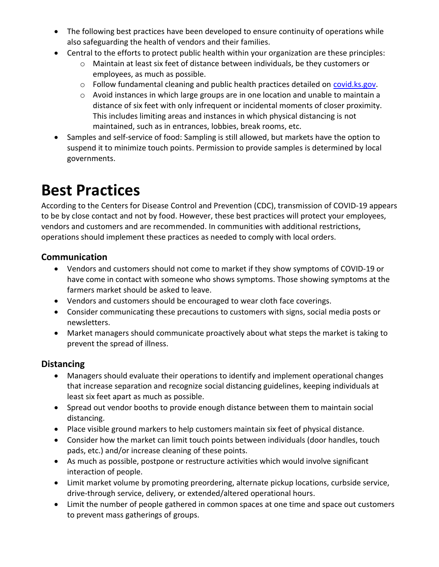- The following best practices have been developed to ensure continuity of operations while also safeguarding the health of vendors and their families.
- Central to the efforts to protect public health within your organization are these principles:
	- o Maintain at least six feet of distance between individuals, be they customers or employees, as much as possible.
	- $\circ$  Follow fundamental cleaning and public health practices detailed on [covid.ks.gov.](http://www.covid.ks.gov/)
	- o Avoid instances in which large groups are in one location and unable to maintain a distance of six feet with only infrequent or incidental moments of closer proximity. This includes limiting areas and instances in which physical distancing is not maintained, such as in entrances, lobbies, break rooms, etc.
- Samples and self-service of food: Sampling is still allowed, but markets have the option to suspend it to minimize touch points. Permission to provide samples is determined by local governments.

# **Best Practices**

According to the Centers for Disease Control and Prevention (CDC), transmission of COVID-19 appears to be by close contact and not by food. However, these best practices will protect your employees, vendors and customers and are recommended. In communities with additional restrictions, operations should implement these practices as needed to comply with local orders.

#### **Communication**

- Vendors and customers should not come to market if they show symptoms of COVID-19 or have come in contact with someone who shows symptoms. Those showing symptoms at the farmers market should be asked to leave.
- Vendors and customers should be encouraged to wear cloth face coverings.
- Consider communicating these precautions to customers with signs, social media posts or newsletters.
- Market managers should communicate proactively about what steps the market is taking to prevent the spread of illness.

#### **Distancing**

- Managers should evaluate their operations to identify and implement operational changes that increase separation and recognize social distancing guidelines, keeping individuals at least six feet apart as much as possible.
- Spread out vendor booths to provide enough distance between them to maintain social distancing.
- Place visible ground markers to help customers maintain six feet of physical distance.
- Consider how the market can limit touch points between individuals (door handles, touch pads, etc.) and/or increase cleaning of these points.
- As much as possible, postpone or restructure activities which would involve significant interaction of people.
- Limit market volume by promoting preordering, alternate pickup locations, curbside service, drive-through service, delivery, or extended/altered operational hours.
- Limit the number of people gathered in common spaces at one time and space out customers to prevent mass gatherings of groups.